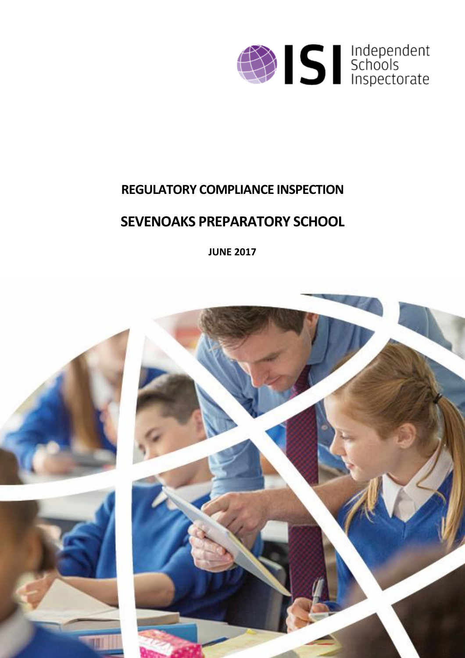

## **REGULATORY COMPLIANCE INSPECTION**

# **SEVENOAKS PREPARATORY SCHOOL**

**JUNE 2017**

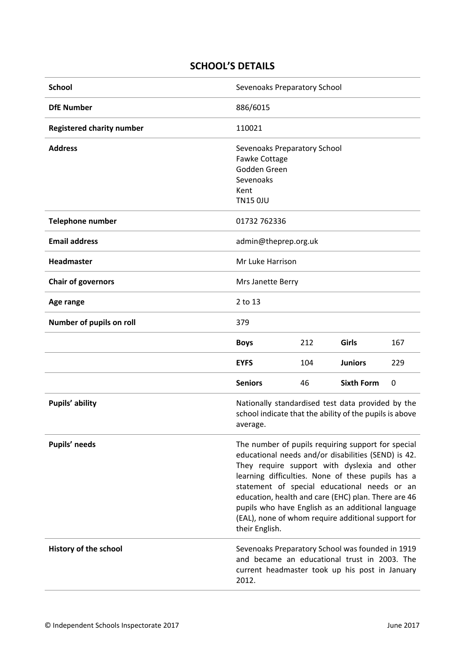## **SCHOOL'S DETAILS**

| <b>School</b>                    | Sevenoaks Preparatory School                                                                                                                                                                                                                                                                                                                                                                                                                       |     |                   |     |
|----------------------------------|----------------------------------------------------------------------------------------------------------------------------------------------------------------------------------------------------------------------------------------------------------------------------------------------------------------------------------------------------------------------------------------------------------------------------------------------------|-----|-------------------|-----|
| <b>DfE Number</b>                | 886/6015                                                                                                                                                                                                                                                                                                                                                                                                                                           |     |                   |     |
| <b>Registered charity number</b> | 110021                                                                                                                                                                                                                                                                                                                                                                                                                                             |     |                   |     |
| <b>Address</b>                   | Sevenoaks Preparatory School<br><b>Fawke Cottage</b><br>Godden Green<br>Sevenoaks<br>Kent<br><b>TN15 OJU</b>                                                                                                                                                                                                                                                                                                                                       |     |                   |     |
| <b>Telephone number</b>          | 01732 762336                                                                                                                                                                                                                                                                                                                                                                                                                                       |     |                   |     |
| <b>Email address</b>             | admin@theprep.org.uk                                                                                                                                                                                                                                                                                                                                                                                                                               |     |                   |     |
| Headmaster                       | Mr Luke Harrison                                                                                                                                                                                                                                                                                                                                                                                                                                   |     |                   |     |
| <b>Chair of governors</b>        | Mrs Janette Berry                                                                                                                                                                                                                                                                                                                                                                                                                                  |     |                   |     |
| Age range                        | 2 to 13                                                                                                                                                                                                                                                                                                                                                                                                                                            |     |                   |     |
| Number of pupils on roll         | 379                                                                                                                                                                                                                                                                                                                                                                                                                                                |     |                   |     |
|                                  | <b>Boys</b>                                                                                                                                                                                                                                                                                                                                                                                                                                        | 212 | Girls             | 167 |
|                                  |                                                                                                                                                                                                                                                                                                                                                                                                                                                    |     |                   |     |
|                                  | <b>EYFS</b>                                                                                                                                                                                                                                                                                                                                                                                                                                        | 104 | <b>Juniors</b>    | 229 |
|                                  | <b>Seniors</b>                                                                                                                                                                                                                                                                                                                                                                                                                                     | 46  | <b>Sixth Form</b> | 0   |
| Pupils' ability                  | Nationally standardised test data provided by the<br>school indicate that the ability of the pupils is above<br>average.                                                                                                                                                                                                                                                                                                                           |     |                   |     |
| Pupils' needs                    | The number of pupils requiring support for special<br>educational needs and/or disabilities (SEND) is 42.<br>They require support with dyslexia and other<br>learning difficulties. None of these pupils has a<br>statement of special educational needs or an<br>education, health and care (EHC) plan. There are 46<br>pupils who have English as an additional language<br>(EAL), none of whom require additional support for<br>their English. |     |                   |     |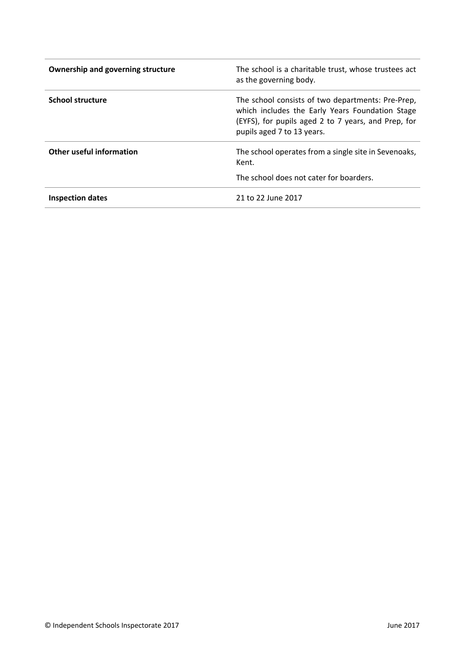| <b>Ownership and governing structure</b> | The school is a charitable trust, whose trustees act<br>as the governing body.                                                                                                            |
|------------------------------------------|-------------------------------------------------------------------------------------------------------------------------------------------------------------------------------------------|
| School structure                         | The school consists of two departments: Pre-Prep,<br>which includes the Early Years Foundation Stage<br>(EYFS), for pupils aged 2 to 7 years, and Prep, for<br>pupils aged 7 to 13 years. |
| Other useful information                 | The school operates from a single site in Sevenoaks,<br>Kent.                                                                                                                             |
|                                          | The school does not cater for boarders.                                                                                                                                                   |
| Inspection dates                         | 21 to 22 June 2017                                                                                                                                                                        |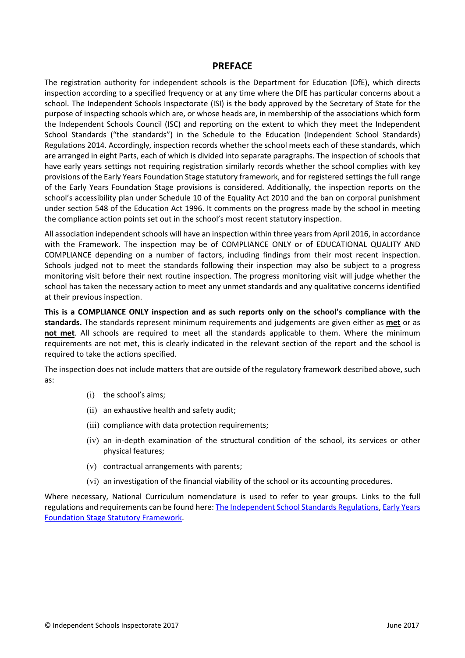#### **PREFACE**

The registration authority for independent schools is the Department for Education (DfE), which directs inspection according to a specified frequency or at any time where the DfE has particular concerns about a school. The Independent Schools Inspectorate (ISI) is the body approved by the Secretary of State for the purpose of inspecting schools which are, or whose heads are, in membership of the associations which form the Independent Schools Council (ISC) and reporting on the extent to which they meet the Independent School Standards ("the standards") in the Schedule to the Education (Independent School Standards) Regulations 2014. Accordingly, inspection records whether the school meets each of these standards, which are arranged in eight Parts, each of which is divided into separate paragraphs. The inspection of schools that have early years settings not requiring registration similarly records whether the school complies with key provisions of the Early Years Foundation Stage statutory framework, and for registered settings the full range of the Early Years Foundation Stage provisions is considered. Additionally, the inspection reports on the school's accessibility plan under Schedule 10 of the Equality Act 2010 and the ban on corporal punishment under section 548 of the Education Act 1996. It comments on the progress made by the school in meeting the compliance action points set out in the school's most recent statutory inspection.

All association independent schools will have an inspection within three years from April 2016, in accordance with the Framework. The inspection may be of COMPLIANCE ONLY or of EDUCATIONAL QUALITY AND COMPLIANCE depending on a number of factors, including findings from their most recent inspection. Schools judged not to meet the standards following their inspection may also be subject to a progress monitoring visit before their next routine inspection. The progress monitoring visit will judge whether the school has taken the necessary action to meet any unmet standards and any qualitative concerns identified at their previous inspection.

**This is a COMPLIANCE ONLY inspection and as such reports only on the school's compliance with the standards.** The standards represent minimum requirements and judgements are given either as **met** or as **not met**. All schools are required to meet all the standards applicable to them. Where the minimum requirements are not met, this is clearly indicated in the relevant section of the report and the school is required to take the actions specified.

The inspection does not include matters that are outside of the regulatory framework described above, such as:

- (i) the school's aims;
- (ii) an exhaustive health and safety audit;
- (iii) compliance with data protection requirements;
- (iv) an in-depth examination of the structural condition of the school, its services or other physical features;
- (v) contractual arrangements with parents;
- (vi) an investigation of the financial viability of the school or its accounting procedures.

Where necessary, National Curriculum nomenclature is used to refer to year groups. Links to the full regulations and requirements can be found here: The [Independent](http://www.legislation.gov.uk/uksi/2014/3283/contents/made) School Standards Regulations, Early [Years](https://www.gov.uk/government/publications/early-years-foundation-stage-framework--2) [Foundation](https://www.gov.uk/government/publications/early-years-foundation-stage-framework--2) Stage Statutory Framework.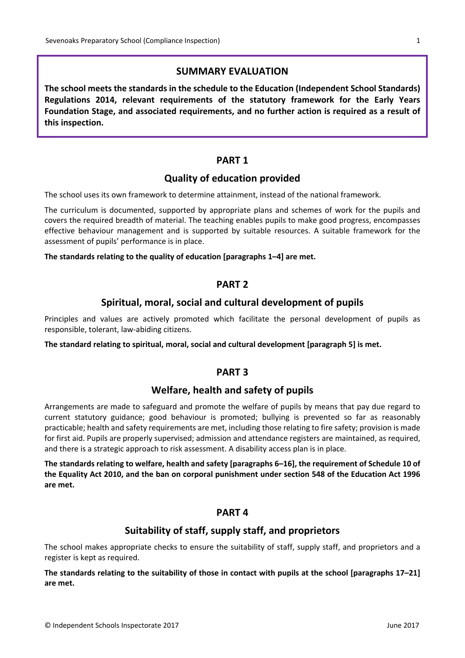#### **SUMMARY EVALUATION**

**The school meets the standards in the schedule to the Education (Independent School Standards) Regulations 2014, relevant requirements of the statutory framework for the Early Years Foundation Stage, and associated requirements, and no further action is required as a result of this inspection.**

## **PART 1**

#### **Quality of education provided**

The school uses its own framework to determine attainment, instead of the national framework.

The curriculum is documented, supported by appropriate plans and schemes of work for the pupils and covers the required breadth of material. The teaching enables pupils to make good progress, encompasses effective behaviour management and is supported by suitable resources. A suitable framework for the assessment of pupils' performance is in place.

#### **The standards relating to the quality of education [paragraphs 1–4] are met.**

#### **PART 2**

#### **Spiritual, moral, social and cultural development of pupils**

Principles and values are actively promoted which facilitate the personal development of pupils as responsible, tolerant, law-abiding citizens.

**The standard relating to spiritual, moral, social and cultural development [paragraph 5] is met.**

## **PART 3**

#### **Welfare, health and safety of pupils**

Arrangements are made to safeguard and promote the welfare of pupils by means that pay due regard to current statutory guidance; good behaviour is promoted; bullying is prevented so far as reasonably practicable; health and safety requirements are met, including those relating to fire safety; provision is made for first aid. Pupils are properly supervised; admission and attendance registers are maintained, as required, and there is a strategic approach to risk assessment. A disability access plan is in place.

**The standards relating to welfare, health and safety [paragraphs 6–16], the requirement of Schedule 10 of** the Equality Act 2010, and the ban on corporal punishment under section 548 of the Education Act 1996 **are met.**

#### **PART 4**

#### **Suitability of staff, supply staff, and proprietors**

The school makes appropriate checks to ensure the suitability of staff, supply staff, and proprietors and a register is kept as required.

The standards relating to the suitability of those in contact with pupils at the school [paragraphs 17-21] **are met.**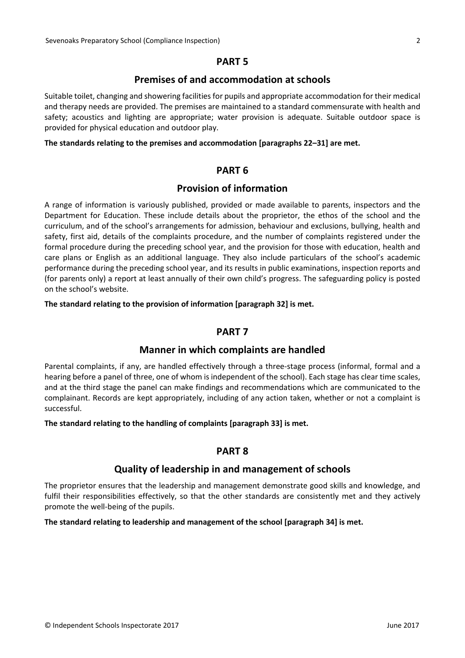#### **PART 5**

#### **Premises of and accommodation at schools**

Suitable toilet, changing and showering facilities for pupils and appropriate accommodation for their medical and therapy needs are provided. The premises are maintained to a standard commensurate with health and safety; acoustics and lighting are appropriate; water provision is adequate. Suitable outdoor space is provided for physical education and outdoor play.

#### **The standards relating to the premises and accommodation [paragraphs 22–31] are met.**

## **PART 6**

## **Provision of information**

A range of information is variously published, provided or made available to parents, inspectors and the Department for Education. These include details about the proprietor, the ethos of the school and the curriculum, and of the school's arrangements for admission, behaviour and exclusions, bullying, health and safety, first aid, details of the complaints procedure, and the number of complaints registered under the formal procedure during the preceding school year, and the provision for those with education, health and care plans or English as an additional language. They also include particulars of the school's academic performance during the preceding school year, and its results in public examinations, inspection reports and (for parents only) a report at least annually of their own child's progress. The safeguarding policy is posted on the school's website.

**The standard relating to the provision of information [paragraph 32] is met.**

## **PART 7**

#### **Manner in which complaints are handled**

Parental complaints, if any, are handled effectively through a three-stage process (informal, formal and a hearing before a panel of three, one of whom is independent of the school). Each stage has clear time scales, and at the third stage the panel can make findings and recommendations which are communicated to the complainant. Records are kept appropriately, including of any action taken, whether or not a complaint is successful.

**The standard relating to the handling of complaints [paragraph 33] is met.**

## **PART 8**

## **Quality of leadership in and management of schools**

The proprietor ensures that the leadership and management demonstrate good skills and knowledge, and fulfil their responsibilities effectively, so that the other standards are consistently met and they actively promote the well-being of the pupils.

#### **The standard relating to leadership and management of the school [paragraph 34] is met.**